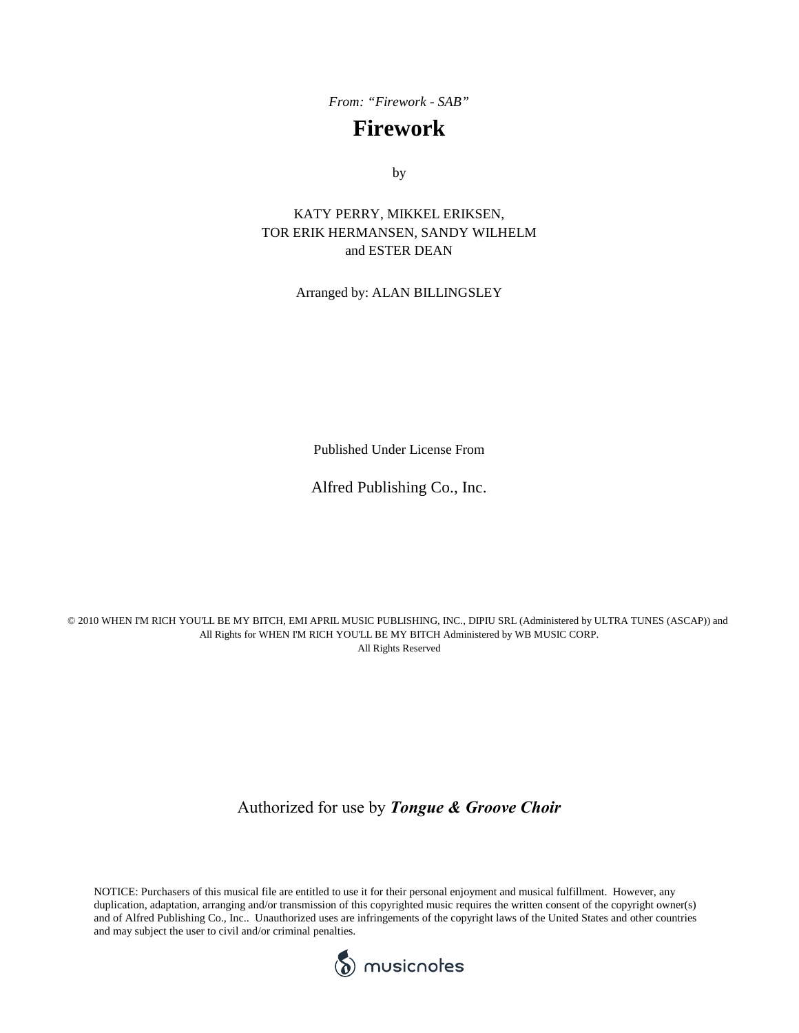*From: "Firework - SAB"*

## **Firework**

by

## KATY PERRY, MIKKEL ERIKSEN, TOR ERIK HERMANSEN, SANDY WILHELM and ESTER DEAN

Arranged by: ALAN BILLINGSLEY

Published Under License From

Alfred Publishing Co., Inc.

© 2010 WHEN I'M RICH YOU'LL BE MY BITCH, EMI APRIL MUSIC PUBLISHING, INC., DIPIU SRL (Administered by ULTRA TUNES (ASCAP)) and All Rights for WHEN I'M RICH YOU'LL BE MY BITCH Administered by WB MUSIC CORP. All Rights Reserved

## Authorized for use by *Tongue & Groove Choir*

NOTICE: Purchasers of this musical file are entitled to use it for their personal enjoyment and musical fulfillment. However, any duplication, adaptation, arranging and/or transmission of this copyrighted music requires the written consent of the copyright owner(s) and of Alfred Publishing Co., Inc.. Unauthorized uses are infringements of the copyright laws of the United States and other countries and may subject the user to civil and/or criminal penalties.

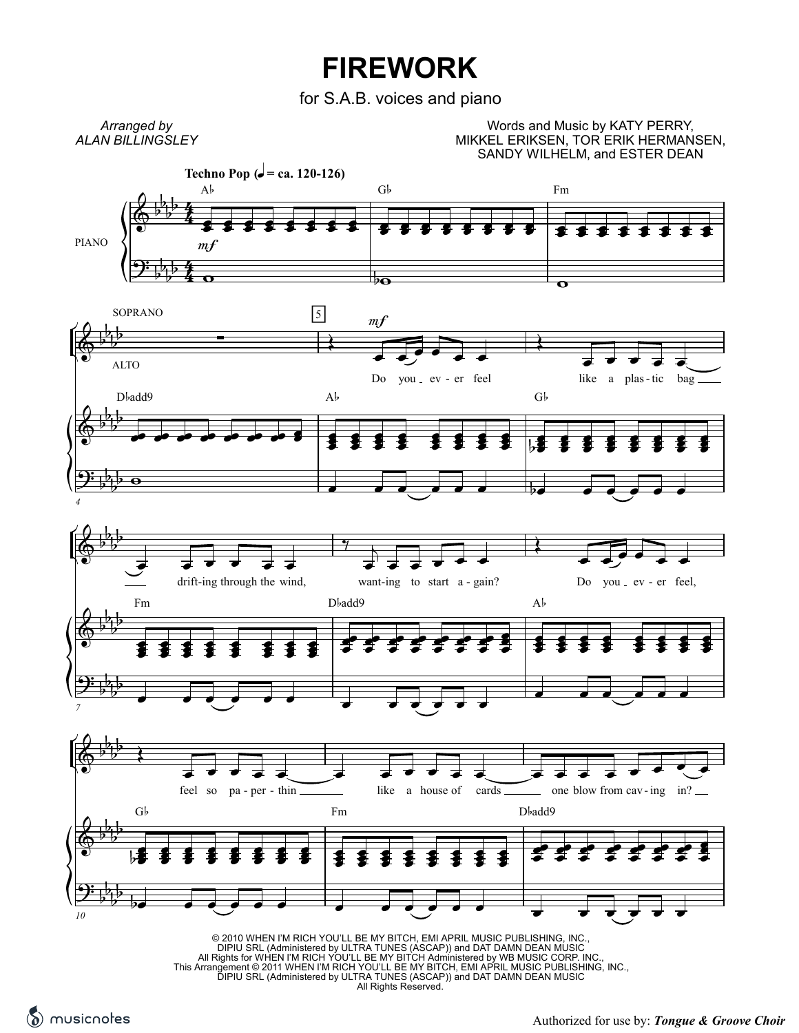## **FIREWORK**

for S.A.B. voices and piano

*Arranged by* Words and Music by KATY PERRY, *ALAN BILLINGSLEY* MIKKEL ERIKSEN, TOR ERIK HERMANSEN, SANDY WILHELM, and ESTER DEAN **Techno Pop (** $\bullet =$  **ca. 120-126)**  $A<sup>b</sup>$  Fm PIANO  $m f$ þο 5 SOPRANO  $m f$ ALTO Do you \_ ev - er feel like a plas - tic bag D<sub>b</sub>add9 A G<sub>b</sub>  $\overline{\mathbf{c}}$ *4* drift-ing through the wind, want-ing to start a - gain? Do you \_ ev - er feel, Fm D<sub>b</sub>add9 A *7* feel so pa - per - thin like a house of cards one blow from cav-ing in?  $\equiv$  $\mathbf{G}^{\flat}$ Fm D<sub>b</sub>add9 *10*

© 2010 WHEN I'M RICH YOU'LL BE MY BITCH, EMI APRIL MUSIC PUBLISHING, INC.,<br>DIPIU SRL (Administered by ULTRA TUNES (ASCAP)) and DAT DAMN DEAN MUSIC<br>All Rights for WHEN I'M RICH YOU'LL BE MY BITCH Administered by ULTRA TUNES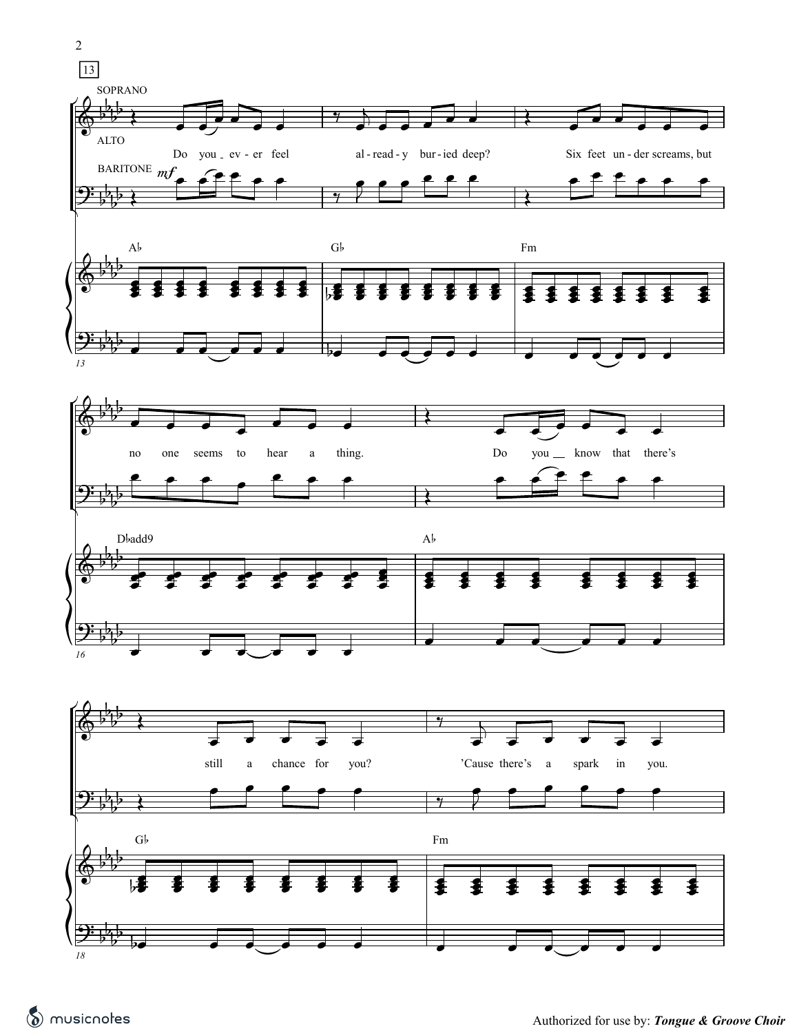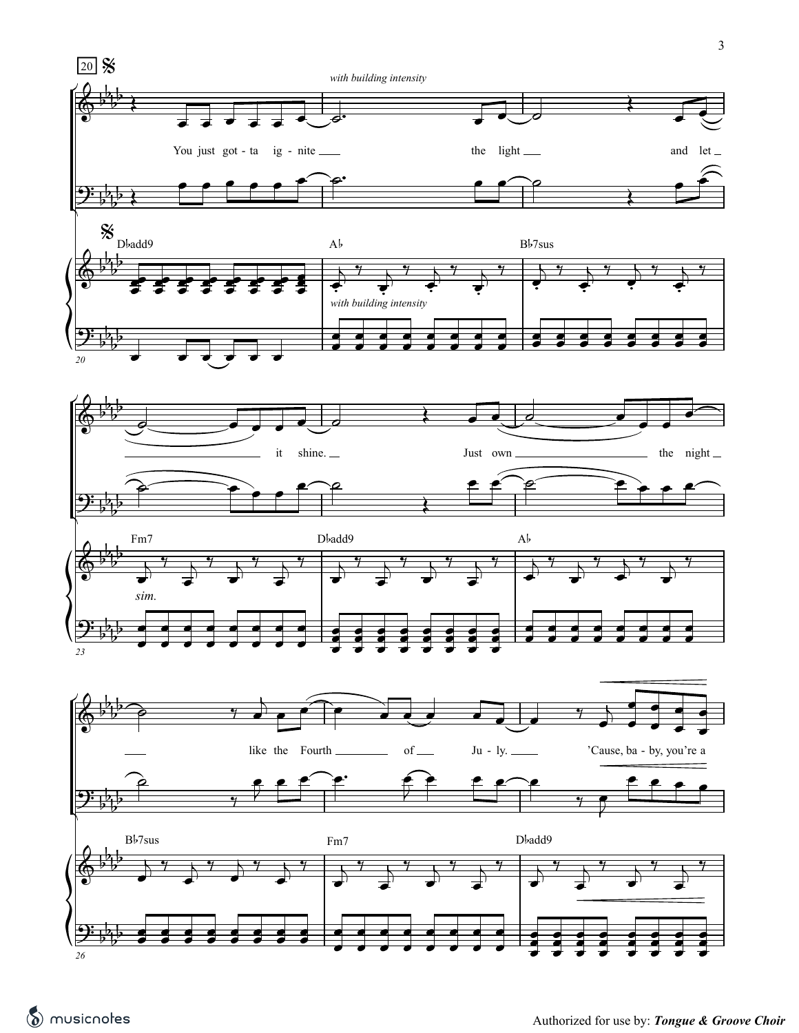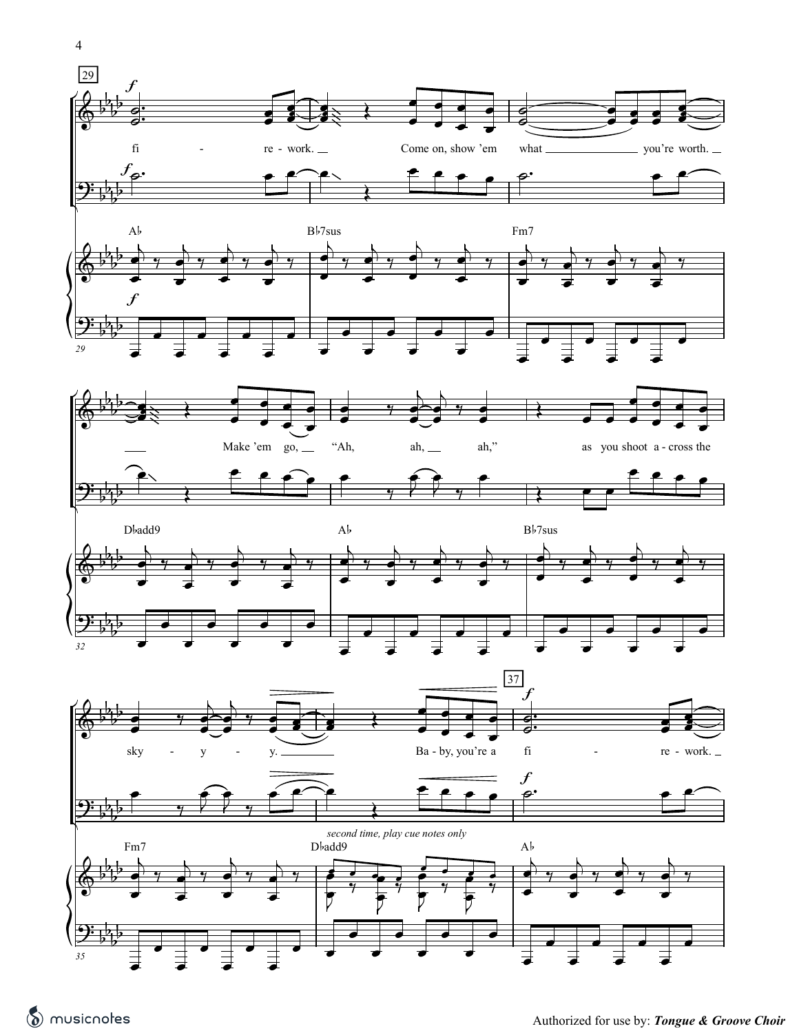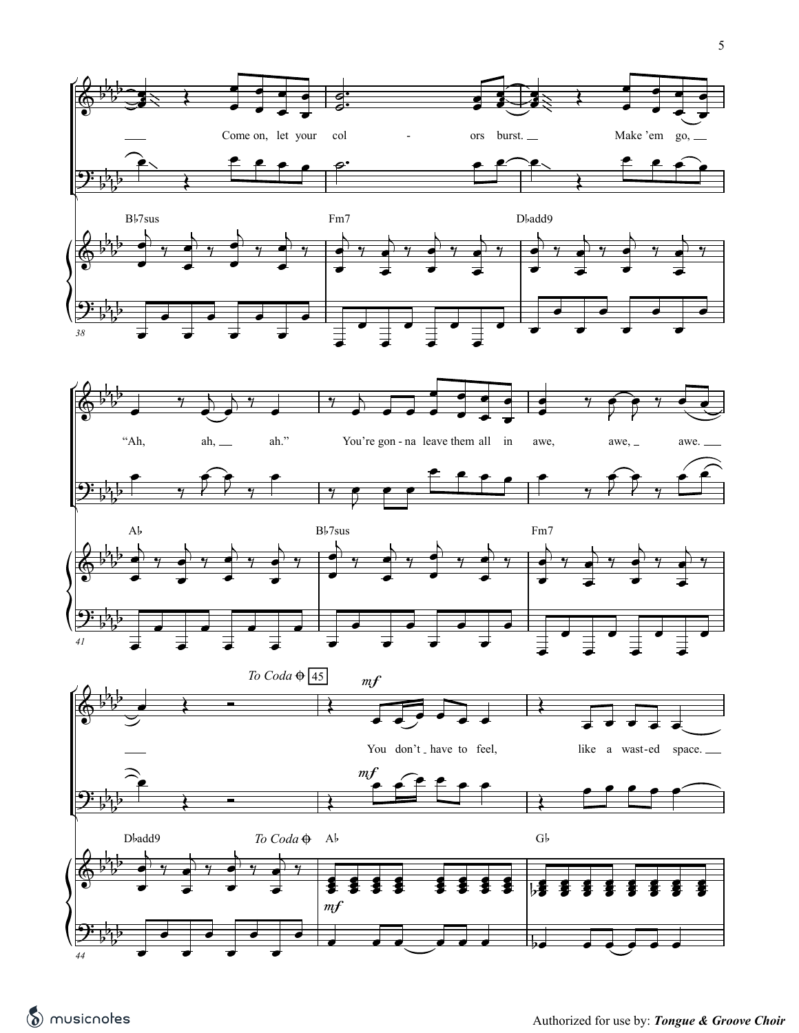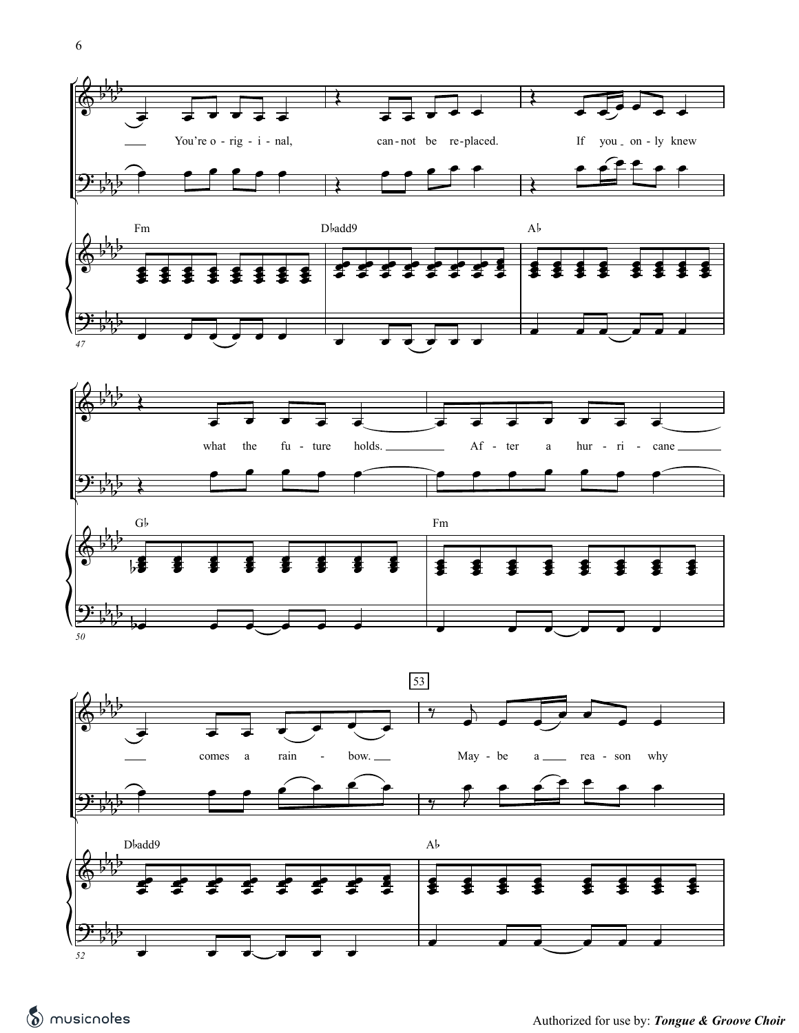

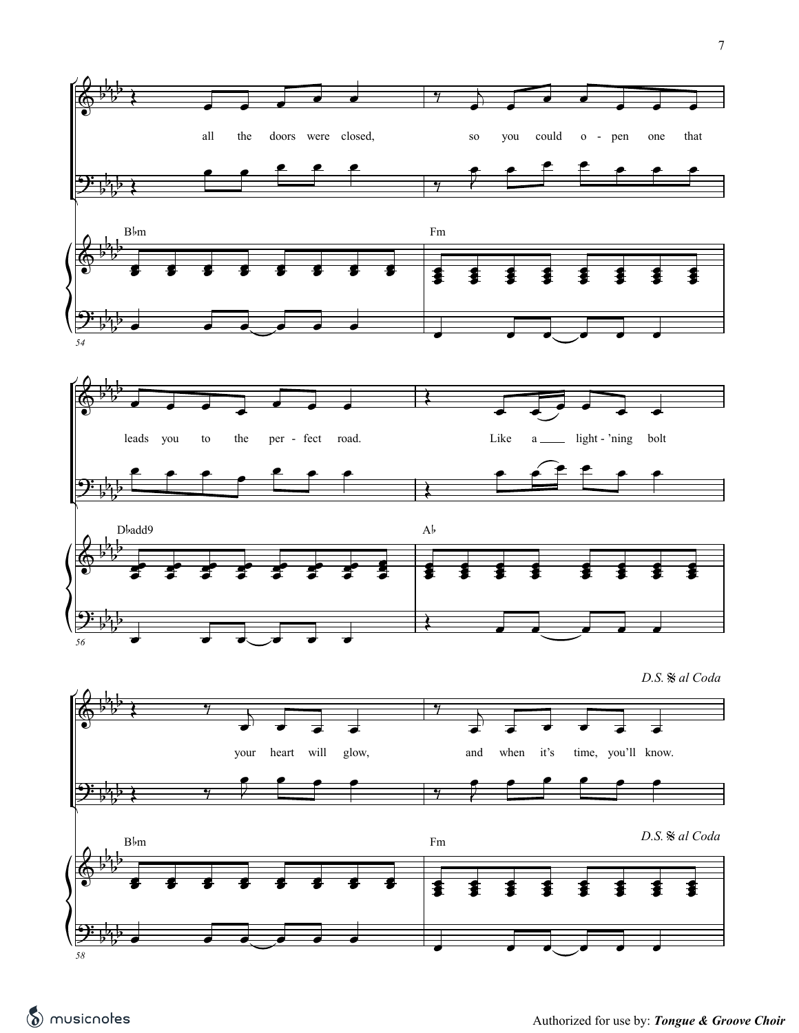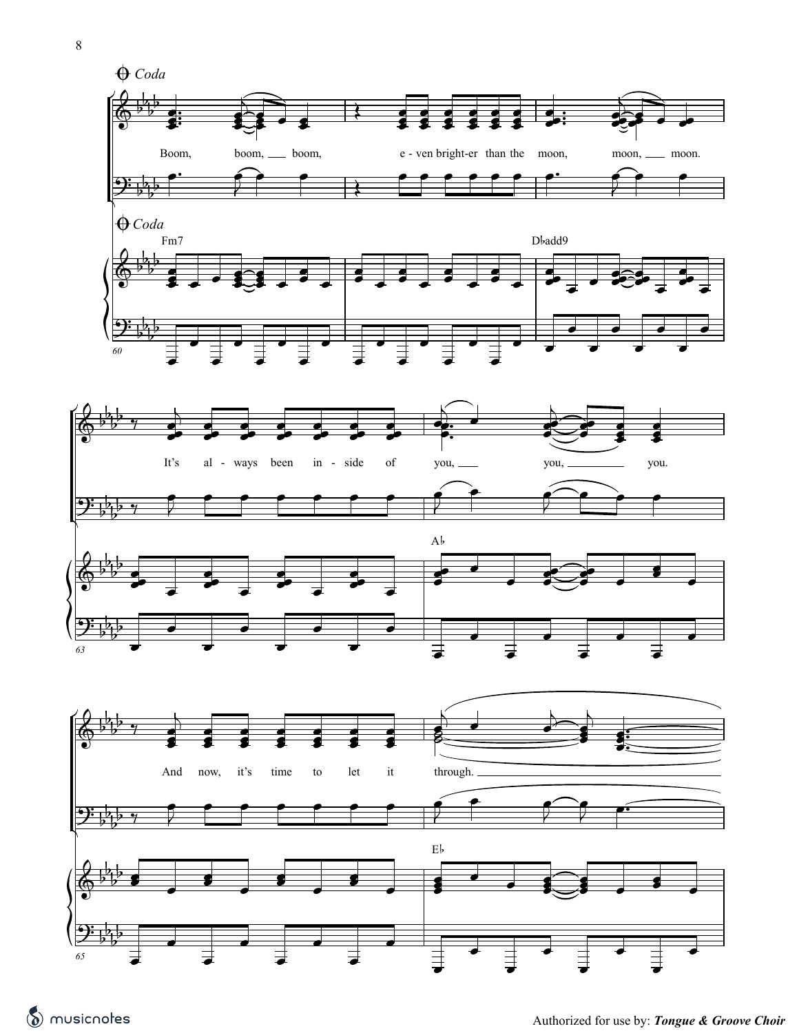





 $\mathbf{P}$  $\frac{1}{b+b}$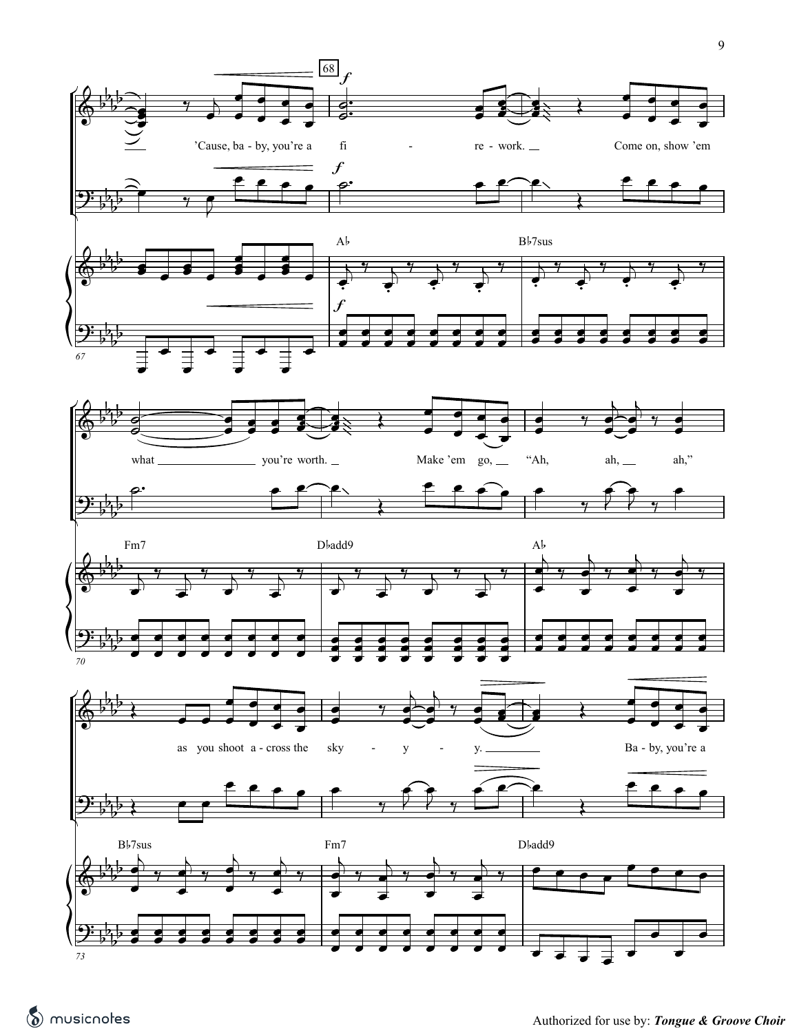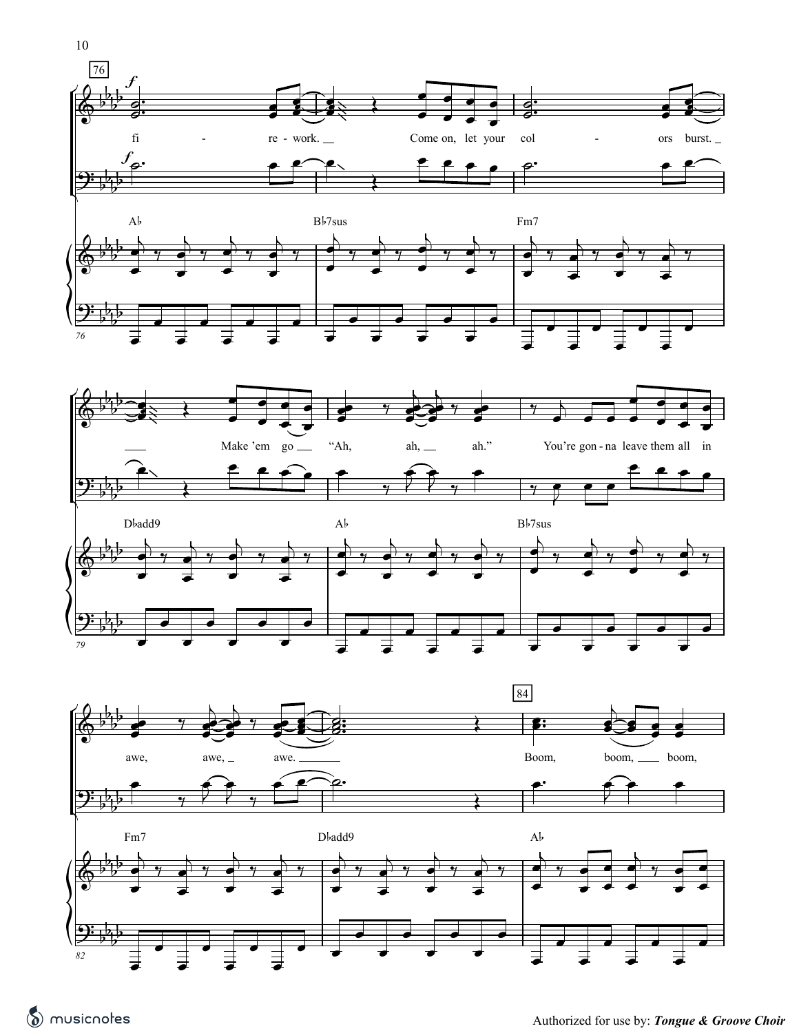